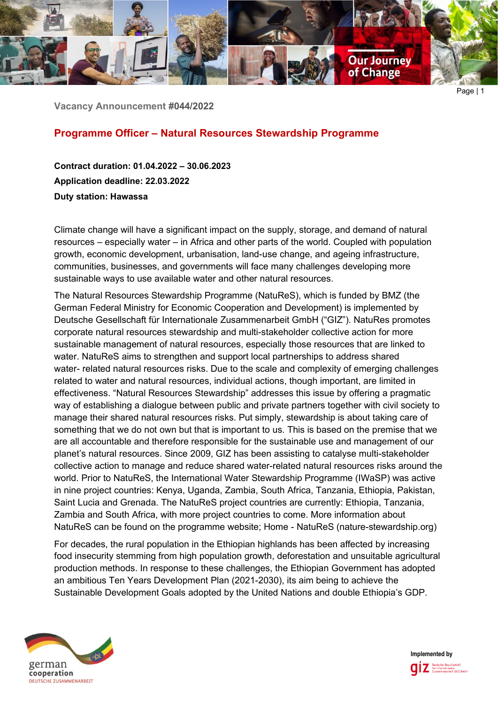

**Vacancy Announcement #044/2022**

## **Programme Officer – Natural Resources Stewardship Programme**

**Contract duration: 01.04.2022 – 30.06.2023 Application deadline: 22.03.2022 Duty station: Hawassa**

Climate change will have a significant impact on the supply, storage, and demand of natural resources – especially water – in Africa and other parts of the world. Coupled with population growth, economic development, urbanisation, land-use change, and ageing infrastructure, communities, businesses, and governments will face many challenges developing more sustainable ways to use available water and other natural resources.

The Natural Resources Stewardship Programme (NatuReS), which is funded by BMZ (the German Federal Ministry for Economic Cooperation and Development) is implemented by Deutsche Gesellschaft für Internationale Zusammenarbeit GmbH ("GIZ"). NatuRes promotes corporate natural resources stewardship and multi-stakeholder collective action for more sustainable management of natural resources, especially those resources that are linked to water. NatuReS aims to strengthen and support local partnerships to address shared water- related natural resources risks. Due to the scale and complexity of emerging challenges related to water and natural resources, individual actions, though important, are limited in effectiveness. "Natural Resources Stewardship" addresses this issue by offering a pragmatic way of establishing a dialogue between public and private partners together with civil society to manage their shared natural resources risks. Put simply, stewardship is about taking care of something that we do not own but that is important to us. This is based on the premise that we are all accountable and therefore responsible for the sustainable use and management of our planet's natural resources. Since 2009, GIZ has been assisting to catalyse multi-stakeholder collective action to manage and reduce shared water-related natural resources risks around the world. Prior to NatuReS, the International Water Stewardship Programme (IWaSP) was active in nine project countries: Kenya, Uganda, Zambia, South Africa, Tanzania, Ethiopia, Pakistan, Saint Lucia and Grenada. The NatuReS project countries are currently: Ethiopia, Tanzania, Zambia and South Africa, with more project countries to come. More information about NatuReS can be found on the programme website; Home - NatuReS (nature-stewardship.org)

For decades, the rural population in the Ethiopian highlands has been affected by increasing food insecurity stemming from high population growth, deforestation and unsuitable agricultural production methods. In response to these challenges, the Ethiopian Government has adopted an ambitious Ten Years Development Plan (2021-2030), its aim being to achieve the Sustainable Development Goals adopted by the United Nations and double Ethiopia's GDP.



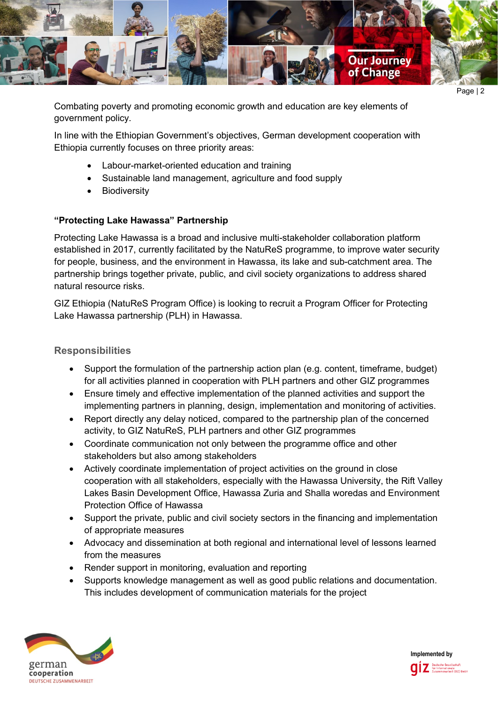

Page | 2

Combating poverty and promoting economic growth and education are key elements of government policy.

In line with the Ethiopian Government's objectives, German development cooperation with Ethiopia currently focuses on three priority areas:

- Labour-market-oriented education and training
- Sustainable land management, agriculture and food supply
- **Biodiversity**

# **"Protecting Lake Hawassa" Partnership**

Protecting Lake Hawassa is a broad and inclusive multi-stakeholder collaboration platform established in 2017, currently facilitated by the NatuReS programme, to improve water security for people, business, and the environment in Hawassa, its lake and sub-catchment area. The partnership brings together private, public, and civil society organizations to address shared natural resource risks.

GIZ Ethiopia (NatuReS Program Office) is looking to recruit a Program Officer for Protecting Lake Hawassa partnership (PLH) in Hawassa.

# **Responsibilities**

- Support the formulation of the partnership action plan (e.g. content, timeframe, budget) for all activities planned in cooperation with PLH partners and other GIZ programmes
- Ensure timely and effective implementation of the planned activities and support the implementing partners in planning, design, implementation and monitoring of activities.
- Report directly any delay noticed, compared to the partnership plan of the concerned activity, to GIZ NatuReS, PLH partners and other GIZ programmes
- Coordinate communication not only between the programme office and other stakeholders but also among stakeholders
- Actively coordinate implementation of project activities on the ground in close cooperation with all stakeholders, especially with the Hawassa University, the Rift Valley Lakes Basin Development Office, Hawassa Zuria and Shalla woredas and Environment Protection Office of Hawassa
- Support the private, public and civil society sectors in the financing and implementation of appropriate measures
- Advocacy and dissemination at both regional and international level of lessons learned from the measures
- Render support in monitoring, evaluation and reporting
- Supports knowledge management as well as good public relations and documentation. This includes development of communication materials for the project



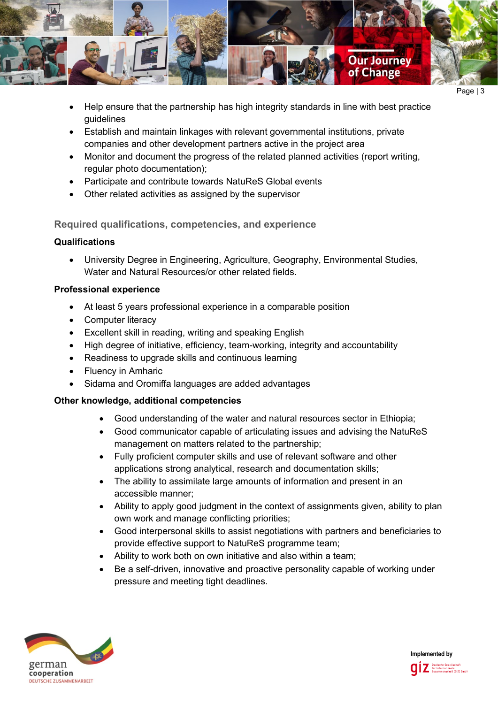

- Help ensure that the partnership has high integrity standards in line with best practice guidelines
- Establish and maintain linkages with relevant governmental institutions, private companies and other development partners active in the project area
- Monitor and document the progress of the related planned activities (report writing, regular photo documentation);
- Participate and contribute towards NatuReS Global events
- Other related activities as assigned by the supervisor

# **Required qualifications, competencies, and experience**

## **Qualifications**

• University Degree in Engineering, Agriculture, Geography, Environmental Studies, Water and Natural Resources/or other related fields.

## **Professional experience**

- At least 5 years professional experience in a comparable position
- Computer literacy
- Excellent skill in reading, writing and speaking English
- High degree of initiative, efficiency, team-working, integrity and accountability
- Readiness to upgrade skills and continuous learning
- Fluency in Amharic
- Sidama and Oromiffa languages are added advantages

# **Other knowledge, additional competencies**

- Good understanding of the water and natural resources sector in Ethiopia;
- Good communicator capable of articulating issues and advising the NatuReS management on matters related to the partnership;
- Fully proficient computer skills and use of relevant software and other applications strong analytical, research and documentation skills;
- The ability to assimilate large amounts of information and present in an accessible manner;
- Ability to apply good judgment in the context of assignments given, ability to plan own work and manage conflicting priorities;
- Good interpersonal skills to assist negotiations with partners and beneficiaries to provide effective support to NatuReS programme team;
- Ability to work both on own initiative and also within a team;
- Be a self-driven, innovative and proactive personality capable of working under pressure and meeting tight deadlines.